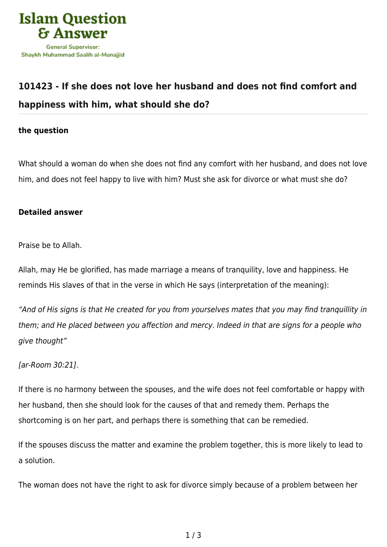

## **[101423 - If she does not love her husband and does not find comfort and](https://islamqa.com/en/answers/101423/if-she-does-not-love-her-husband-and-does-not-find-comfort-and-happiness-with-him-what-should-she-do) [happiness with him, what should she do?](https://islamqa.com/en/answers/101423/if-she-does-not-love-her-husband-and-does-not-find-comfort-and-happiness-with-him-what-should-she-do)**

## **the question**

What should a woman do when she does not find any comfort with her husband, and does not love him, and does not feel happy to live with him? Must she ask for divorce or what must she do?

## **Detailed answer**

Praise be to Allah.

Allah, may He be glorified, has made marriage a means of tranquility, love and happiness. He reminds His slaves of that in the verse in which He says (interpretation of the meaning):

"And of His signs is that He created for you from yourselves mates that you may find tranquillity in them; and He placed between you affection and mercy. Indeed in that are signs for a people who give thought"

[ar-Room 30:21].

If there is no harmony between the spouses, and the wife does not feel comfortable or happy with her husband, then she should look for the causes of that and remedy them. Perhaps the shortcoming is on her part, and perhaps there is something that can be remedied.

If the spouses discuss the matter and examine the problem together, this is more likely to lead to a solution.

The woman does not have the right to ask for divorce simply because of a problem between her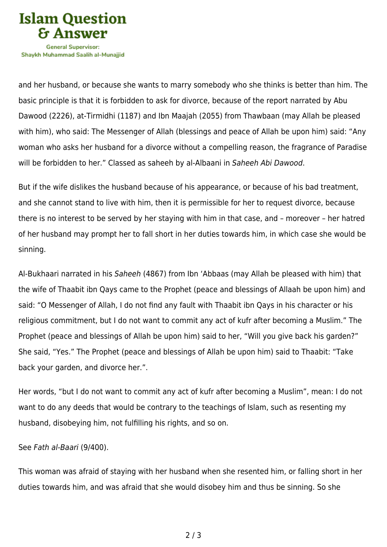

Shavkh Muhammad Saalih al-Munaiiid

and her husband, or because she wants to marry somebody who she thinks is better than him. The basic principle is that it is forbidden to ask for divorce, because of the report narrated by Abu Dawood (2226), at-Tirmidhi (1187) and Ibn Maajah (2055) from Thawbaan (may Allah be pleased with him), who said: The Messenger of Allah (blessings and peace of Allah be upon him) said: "Any woman who asks her husband for a divorce without a compelling reason, the fragrance of Paradise will be forbidden to her." Classed as saheeh by al-Albaani in Saheeh Abi Dawood.

But if the wife dislikes the husband because of his appearance, or because of his bad treatment, and she cannot stand to live with him, then it is permissible for her to request divorce, because there is no interest to be served by her staying with him in that case, and – moreover – her hatred of her husband may prompt her to fall short in her duties towards him, in which case she would be sinning.

Al-Bukhaari narrated in his Saheeh (4867) from Ibn 'Abbaas (may Allah be pleased with him) that the wife of Thaabit ibn Qays came to the Prophet (peace and blessings of Allaah be upon him) and said: "O Messenger of Allah, I do not find any fault with Thaabit ibn Qays in his character or his religious commitment, but I do not want to commit any act of kufr after becoming a Muslim." The Prophet (peace and blessings of Allah be upon him) said to her, "Will you give back his garden?" She said, "Yes." The Prophet (peace and blessings of Allah be upon him) said to Thaabit: "Take back your garden, and divorce her.".

Her words, "but I do not want to commit any act of kufr after becoming a Muslim", mean: I do not want to do any deeds that would be contrary to the teachings of Islam, such as resenting my husband, disobeying him, not fulfilling his rights, and so on.

## See Fath al-Baari (9/400).

This woman was afraid of staying with her husband when she resented him, or falling short in her duties towards him, and was afraid that she would disobey him and thus be sinning. So she